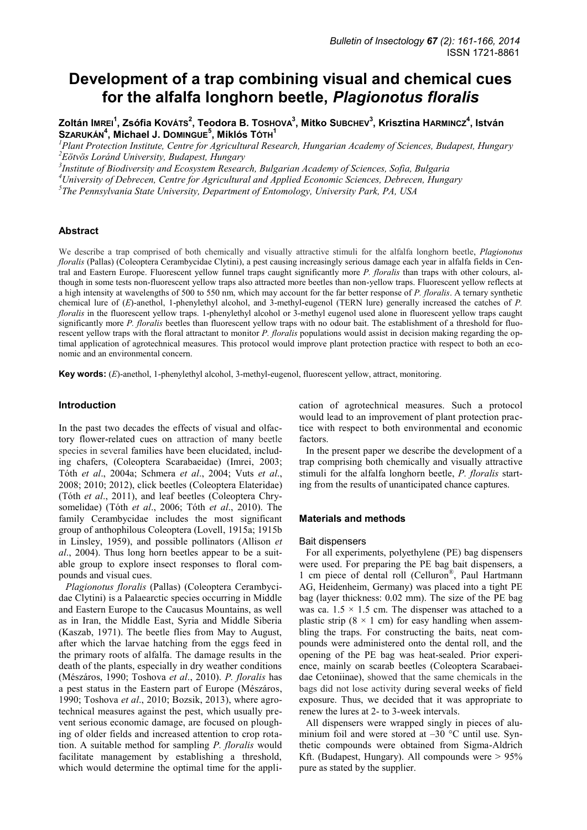# **Development of a trap combining visual and chemical cues for the alfalfa longhorn beetle,** *Plagionotus floralis*

**Zoltán IMREI<sup>1</sup> , Zsófia KOVÁTS<sup>2</sup> , Teodora B. TOSHOVA<sup>3</sup> , Mitko SUBCHEV<sup>3</sup> , Krisztina HARMINCZ<sup>4</sup> , István SZARUKÁN<sup>4</sup> , Michael J. DOMINGUE<sup>5</sup> , Miklós TÓTH<sup>1</sup>**

*<sup>1</sup>Plant Protection Institute, Centre for Agricultural Research, Hungarian Academy of Sciences, Budapest, Hungary <sup>2</sup>Eötvös Loránd University, Budapest, Hungary* 

*3 Institute of Biodiversity and Ecosystem Research, Bulgarian Academy of Sciences, Sofia, Bulgaria* 

*<sup>4</sup>University of Debrecen, Centre for Agricultural and Applied Economic Sciences, Debrecen, Hungary* 

*5 The Pennsylvania State University, Department of Entomology, University Park, PA, USA* 

## **Abstract**

We describe a trap comprised of both chemically and visually attractive stimuli for the alfalfa longhorn beetle, *Plagionotus floralis* (Pallas) (Coleoptera Cerambycidae Clytini), a pest causing increasingly serious damage each year in alfalfa fields in Central and Eastern Europe. Fluorescent yellow funnel traps caught significantly more *P. floralis* than traps with other colours, although in some tests non-fluorescent yellow traps also attracted more beetles than non-yellow traps. Fluorescent yellow reflects at a high intensity at wavelengths of 500 to 550 nm, which may account for the far better response of *P. floralis*. A ternary synthetic chemical lure of (*E*)-anethol, 1-phenylethyl alcohol, and 3-methyl-eugenol (TERN lure) generally increased the catches of *P. floralis* in the fluorescent yellow traps. 1-phenylethyl alcohol or 3-methyl eugenol used alone in fluorescent yellow traps caught significantly more *P. floralis* beetles than fluorescent yellow traps with no odour bait. The establishment of a threshold for fluorescent yellow traps with the floral attractant to monitor *P. floralis* populations would assist in decision making regarding the optimal application of agrotechnical measures. This protocol would improve plant protection practice with respect to both an economic and an environmental concern.

**Key words:** (*E*)-anethol, 1-phenylethyl alcohol, 3-methyl-eugenol, fluorescent yellow, attract, monitoring.

## **Introduction**

In the past two decades the effects of visual and olfactory flower-related cues on attraction of many beetle species in several families have been elucidated, including chafers, (Coleoptera Scarabaeidae) (Imrei, 2003; Tóth *et al*., 2004a; Schmera *et al*., 2004; Vuts *et al*., 2008; 2010; 2012), click beetles (Coleoptera Elateridae) (Tóth *et al*., 2011), and leaf beetles (Coleoptera Chrysomelidae) (Tóth *et al*., 2006; Tóth *et al*., 2010). The family Cerambycidae includes the most significant group of anthophilous Coleoptera (Lovell, 1915a; 1915b in Linsley, 1959), and possible pollinators (Allison *et al*., 2004). Thus long horn beetles appear to be a suitable group to explore insect responses to floral compounds and visual cues.

*Plagionotus floralis* (Pallas) (Coleoptera Cerambycidae Clytini) is a Palaearctic species occurring in Middle and Eastern Europe to the Caucasus Mountains, as well as in Iran, the Middle East, Syria and Middle Siberia (Kaszab, 1971). The beetle flies from May to August, after which the larvae hatching from the eggs feed in the primary roots of alfalfa. The damage results in the death of the plants, especially in dry weather conditions (Mészáros, 1990; Toshova *et al*., 2010). *P. floralis* has a pest status in the Eastern part of Europe (Mészáros, 1990; Toshova *et al*., 2010; Bozsik, 2013), where agrotechnical measures against the pest, which usually prevent serious economic damage, are focused on ploughing of older fields and increased attention to crop rotation. A suitable method for sampling *P. floralis* would facilitate management by establishing a threshold, which would determine the optimal time for the application of agrotechnical measures. Such a protocol would lead to an improvement of plant protection practice with respect to both environmental and economic factors.

In the present paper we describe the development of a trap comprising both chemically and visually attractive stimuli for the alfalfa longhorn beetle, *P. floralis* starting from the results of unanticipated chance captures.

## **Materials and methods**

#### Bait dispensers

For all experiments, polyethylene (PE) bag dispensers were used. For preparing the PE bag bait dispensers, a 1 cm piece of dental roll (Celluron® , Paul Hartmann AG, Heidenheim, Germany) was placed into a tight PE bag (layer thickness: 0.02 mm). The size of the PE bag was ca.  $1.5 \times 1.5$  cm. The dispenser was attached to a plastic strip ( $8 \times 1$  cm) for easy handling when assembling the traps. For constructing the baits, neat compounds were administered onto the dental roll, and the opening of the PE bag was heat-sealed. Prior experience, mainly on scarab beetles (Coleoptera Scarabaeidae Cetoniinae), showed that the same chemicals in the bags did not lose activity during several weeks of field exposure. Thus, we decided that it was appropriate to renew the lures at 2- to 3-week intervals.

All dispensers were wrapped singly in pieces of aluminium foil and were stored at  $-30$  °C until use. Synthetic compounds were obtained from Sigma-Aldrich Kft. (Budapest, Hungary). All compounds were  $> 95\%$ pure as stated by the supplier.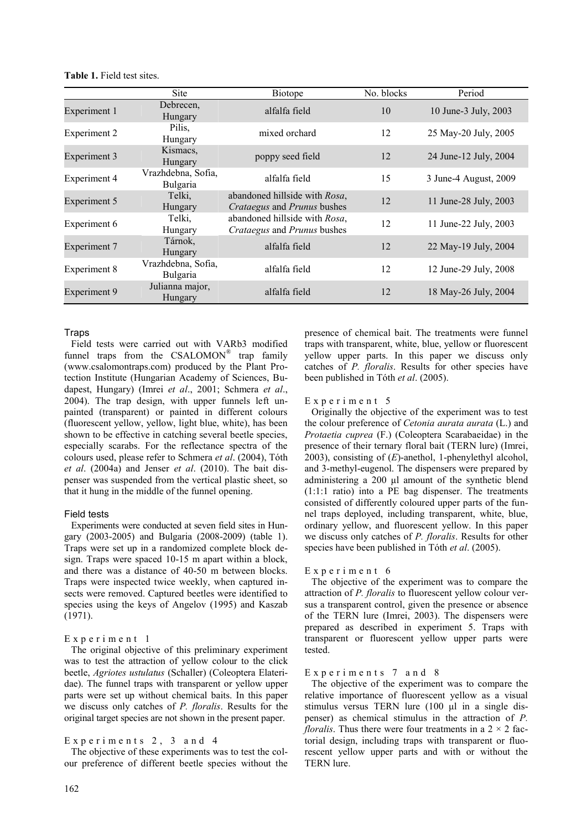|                     | <b>Site</b>                    | <b>Biotope</b>                                               | No. blocks | Period                |
|---------------------|--------------------------------|--------------------------------------------------------------|------------|-----------------------|
| Experiment 1        | Debrecen,<br>Hungary           | alfalfa field                                                | 10         | 10 June-3 July, 2003  |
| Experiment 2        | Pilis,<br>Hungary              | mixed orchard                                                | 12         | 25 May-20 July, 2005  |
| <b>Experiment 3</b> | Kismacs,<br>Hungary            | poppy seed field                                             | 12         | 24 June-12 July, 2004 |
| Experiment 4        | Vrazhdebna, Sofia,<br>Bulgaria | alfalfa field                                                | 15         | 3 June-4 August, 2009 |
| <b>Experiment 5</b> | Telki,<br>Hungary              | abandoned hillside with Rosa,<br>Crataegus and Prunus bushes | 12         | 11 June-28 July, 2003 |
| Experiment 6        | Telki,<br>Hungary              | abandoned hillside with Rosa,<br>Crataegus and Prunus bushes | 12         | 11 June-22 July, 2003 |
| <b>Experiment 7</b> | Tárnok,<br>Hungary             | alfalfa field                                                | 12         | 22 May-19 July, 2004  |
| Experiment 8        | Vrazhdebna, Sofia,<br>Bulgaria | alfalfa field                                                | 12         | 12 June-29 July, 2008 |
| <b>Experiment 9</b> | Julianna major,<br>Hungary     | alfalfa field                                                | 12         | 18 May-26 July, 2004  |

#### **Table 1.** Field test sites.

## **Traps**

Field tests were carried out with VARb3 modified funnel traps from the  $CSALOMON^{\circledR}$  trap family (www.csalomontraps.com) produced by the Plant Protection Institute (Hungarian Academy of Sciences, Budapest, Hungary) (Imrei *et al*., 2001; Schmera *et al*., 2004). The trap design, with upper funnels left unpainted (transparent) or painted in different colours (fluorescent yellow, yellow, light blue, white), has been shown to be effective in catching several beetle species, especially scarabs. For the reflectance spectra of the colours used, please refer to Schmera *et al*. (2004), Tóth *et al*. (2004a) and Jenser *et al*. (2010). The bait dispenser was suspended from the vertical plastic sheet, so that it hung in the middle of the funnel opening.

#### Field tests

Experiments were conducted at seven field sites in Hungary (2003-2005) and Bulgaria (2008-2009) (table 1). Traps were set up in a randomized complete block design. Traps were spaced 10-15 m apart within a block, and there was a distance of 40-50 m between blocks. Traps were inspected twice weekly, when captured insects were removed. Captured beetles were identified to species using the keys of Angelov (1995) and Kaszab (1971).

## Experiment 1

The original objective of this preliminary experiment was to test the attraction of yellow colour to the click beetle, *Agriotes ustulatus* (Schaller) (Coleoptera Elateridae). The funnel traps with transparent or yellow upper parts were set up without chemical baits. In this paper we discuss only catches of *P. floralis*. Results for the original target species are not shown in the present paper.

## Experiments  $2, 3$  and  $4$

The objective of these experiments was to test the colour preference of different beetle species without the presence of chemical bait. The treatments were funnel traps with transparent, white, blue, yellow or fluorescent yellow upper parts. In this paper we discuss only catches of *P. floralis*. Results for other species have been published in Tóth *et al*. (2005).

#### Experiment 5

Originally the objective of the experiment was to test the colour preference of *Cetonia aurata aurata* (L.) and *Protaetia cuprea* (F.) (Coleoptera Scarabaeidae) in the presence of their ternary floral bait (TERN lure) (Imrei, 2003), consisting of (*E*)-anethol, 1-phenylethyl alcohol, and 3-methyl-eugenol. The dispensers were prepared by administering a 200 μl amount of the synthetic blend (1:1:1 ratio) into a PE bag dispenser. The treatments consisted of differently coloured upper parts of the funnel traps deployed, including transparent, white, blue, ordinary yellow, and fluorescent yellow. In this paper we discuss only catches of *P. floralis*. Results for other species have been published in Tóth *et al*. (2005).

#### Experiment 6

The objective of the experiment was to compare the attraction of *P. floralis* to fluorescent yellow colour versus a transparent control, given the presence or absence of the TERN lure (Imrei, 2003). The dispensers were prepared as described in experiment 5. Traps with transparent or fluorescent yellow upper parts were tested.

#### Experiments 7 and 8

The objective of the experiment was to compare the relative importance of fluorescent yellow as a visual stimulus versus TERN lure (100 μl in a single dispenser) as chemical stimulus in the attraction of *P. floralis*. Thus there were four treatments in a  $2 \times 2$  factorial design, including traps with transparent or fluorescent yellow upper parts and with or without the TERN lure.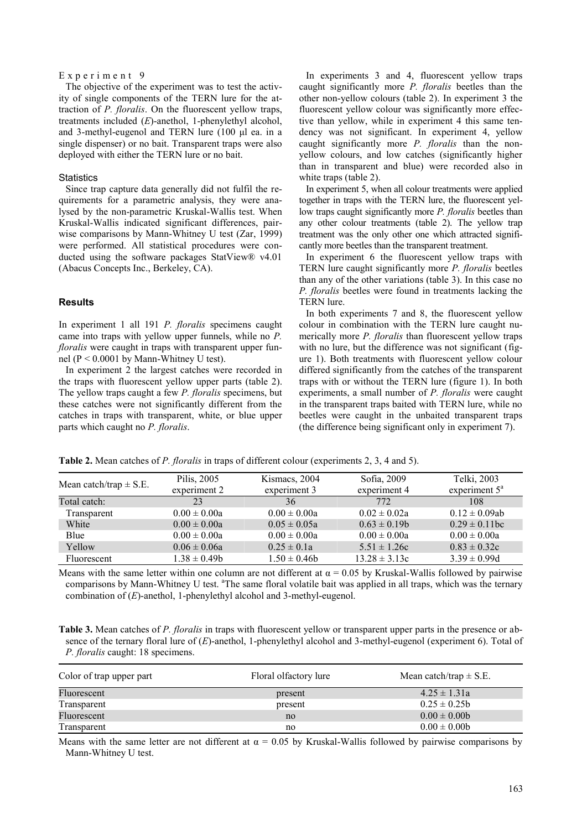### Experiment 9

The objective of the experiment was to test the activity of single components of the TERN lure for the attraction of *P. floralis*. On the fluorescent yellow traps, treatments included (*E*)-anethol, 1-phenylethyl alcohol, and 3-methyl-eugenol and TERN lure (100 μl ea. in a single dispenser) or no bait. Transparent traps were also deployed with either the TERN lure or no bait.

#### **Statistics**

Since trap capture data generally did not fulfil the requirements for a parametric analysis, they were analysed by the non-parametric Kruskal-Wallis test. When Kruskal-Wallis indicated significant differences, pairwise comparisons by Mann-Whitney U test (Zar, 1999) were performed. All statistical procedures were conducted using the software packages StatView® v4.01 (Abacus Concepts Inc., Berkeley, CA).

## **Results**

In experiment 1 all 191 *P. floralis* specimens caught came into traps with yellow upper funnels, while no *P. floralis* were caught in traps with transparent upper funnel ( $P < 0.0001$  by Mann-Whitney U test).

In experiment 2 the largest catches were recorded in the traps with fluorescent yellow upper parts (table 2). The yellow traps caught a few *P. floralis* specimens, but these catches were not significantly different from the catches in traps with transparent, white, or blue upper parts which caught no *P. floralis*.

In experiments 3 and 4, fluorescent yellow traps caught significantly more *P. floralis* beetles than the other non-yellow colours (table 2). In experiment 3 the fluorescent yellow colour was significantly more effective than yellow, while in experiment 4 this same tendency was not significant. In experiment 4, yellow caught significantly more *P. floralis* than the nonyellow colours, and low catches (significantly higher than in transparent and blue) were recorded also in white traps (table 2).

In experiment 5, when all colour treatments were applied together in traps with the TERN lure, the fluorescent yellow traps caught significantly more *P. floralis* beetles than any other colour treatments (table 2). The yellow trap treatment was the only other one which attracted significantly more beetles than the transparent treatment.

In experiment 6 the fluorescent yellow traps with TERN lure caught significantly more *P. floralis* beetles than any of the other variations (table 3). In this case no *P. floralis* beetles were found in treatments lacking the TERN lure.

In both experiments 7 and 8, the fluorescent yellow colour in combination with the TERN lure caught numerically more *P. floralis* than fluorescent yellow traps with no lure, but the difference was not significant (figure 1). Both treatments with fluorescent yellow colour differed significantly from the catches of the transparent traps with or without the TERN lure (figure 1). In both experiments, a small number of *P. floralis* were caught in the transparent traps baited with TERN lure, while no beetles were caught in the unbaited transparent traps (the difference being significant only in experiment 7).

**Table 2.** Mean catches of *P. floralis* in traps of different colour (experiments 2, 3, 4 and 5).

| Mean catch/trap $\pm$ S.E. | Pilis, 2005       | Kismacs, 2004    | Sofia, 2009       | Telki, 2003            |
|----------------------------|-------------------|------------------|-------------------|------------------------|
|                            | experiment 2      | experiment 3     | experiment 4      | experiment $5^{\circ}$ |
| Total catch:               | 23                | 36               | 772               | 108                    |
| Transparent                | $0.00 \pm 0.00a$  | $0.00 \pm 0.00a$ | $0.02 \pm 0.02a$  | $0.12 \pm 0.09$ ab     |
| White                      | $0.00 \pm 0.00a$  | $0.05 \pm 0.05a$ | $0.63 \pm 0.19$   | $0.29 \pm 0.11$ bc     |
| Blue                       | $0.00 \pm 0.00a$  | $0.00 \pm 0.00a$ | $0.00 \pm 0.00a$  | $0.00 \pm 0.00a$       |
| Yellow                     | $0.06 \pm 0.06a$  | $0.25 \pm 0.1a$  | $5.51 \pm 1.26c$  | $0.83 \pm 0.32c$       |
| Fluorescent                | $1.38 \pm 0.49$ b | $1.50 \pm 0.46$  | $13.28 \pm 3.13c$ | $3.39 \pm 0.99d$       |

Means with the same letter within one column are not different at  $\alpha = 0.05$  by Kruskal-Wallis followed by pairwise comparisons by Mann-Whitney U test. <sup>a</sup>The same floral volatile bait was applied in all traps, which was the ternary combination of (*E*)-anethol, 1-phenylethyl alcohol and 3-methyl-eugenol.

**Table 3.** Mean catches of *P. floralis* in traps with fluorescent yellow or transparent upper parts in the presence or absence of the ternary floral lure of (*E*)-anethol, 1-phenylethyl alcohol and 3-methyl-eugenol (experiment 6). Total of *P. floralis* caught: 18 specimens.

| Color of trap upper part | Floral olfactory lure | Mean catch/trap $\pm$ S.E. |
|--------------------------|-----------------------|----------------------------|
| Fluorescent              | present               | $4.25 \pm 1.31a$           |
| Transparent              | present               | $0.25 \pm 0.25$            |
| Fluorescent              | no                    | $0.00 \pm 0.00$            |
| Transparent              | no                    | $0.00 \pm 0.00$            |

Means with the same letter are not different at  $\alpha = 0.05$  by Kruskal-Wallis followed by pairwise comparisons by Mann-Whitney U test.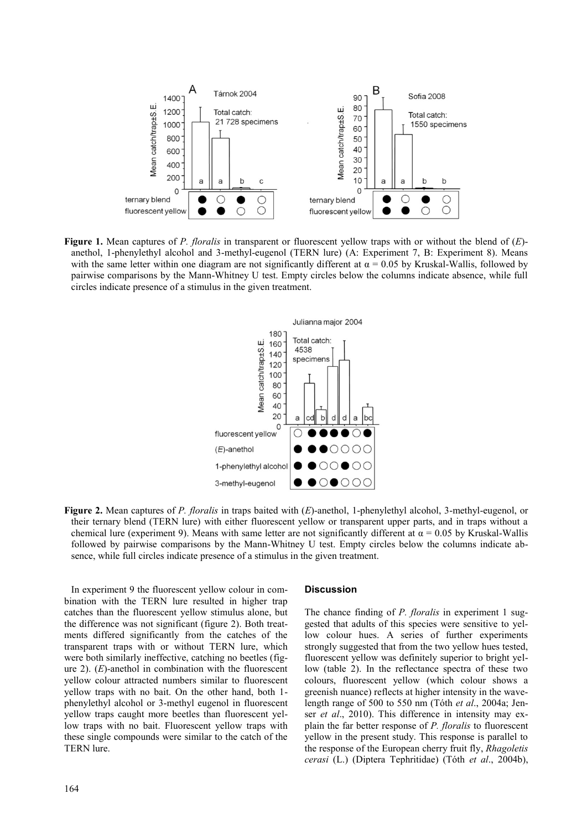

**Figure 1.** Mean captures of *P. floralis* in transparent or fluorescent yellow traps with or without the blend of (*E*) anethol, 1-phenylethyl alcohol and 3-methyl-eugenol (TERN lure) (A: Experiment 7, B: Experiment 8). Means with the same letter within one diagram are not significantly different at  $\alpha = 0.05$  by Kruskal-Wallis, followed by pairwise comparisons by the Mann-Whitney U test. Empty circles below the columns indicate absence, while full circles indicate presence of a stimulus in the given treatment.



**Figure 2.** Mean captures of *P. floralis* in traps baited with (*E*)-anethol, 1-phenylethyl alcohol, 3-methyl-eugenol, or their ternary blend (TERN lure) with either fluorescent yellow or transparent upper parts, and in traps without a chemical lure (experiment 9). Means with same letter are not significantly different at  $\alpha = 0.05$  by Kruskal-Wallis followed by pairwise comparisons by the Mann-Whitney U test. Empty circles below the columns indicate absence, while full circles indicate presence of a stimulus in the given treatment.

In experiment 9 the fluorescent yellow colour in combination with the TERN lure resulted in higher trap catches than the fluorescent yellow stimulus alone, but the difference was not significant (figure 2). Both treatments differed significantly from the catches of the transparent traps with or without TERN lure, which were both similarly ineffective, catching no beetles (figure 2). (*E*)-anethol in combination with the fluorescent yellow colour attracted numbers similar to fluorescent yellow traps with no bait. On the other hand, both 1 phenylethyl alcohol or 3-methyl eugenol in fluorescent yellow traps caught more beetles than fluorescent yellow traps with no bait. Fluorescent yellow traps with these single compounds were similar to the catch of the TERN lure.

## **Discussion**

The chance finding of *P. floralis* in experiment 1 suggested that adults of this species were sensitive to yellow colour hues. A series of further experiments strongly suggested that from the two yellow hues tested, fluorescent yellow was definitely superior to bright yellow (table 2). In the reflectance spectra of these two colours, fluorescent yellow (which colour shows a greenish nuance) reflects at higher intensity in the wavelength range of 500 to 550 nm (Tóth *et al*., 2004a; Jenser *et al*., 2010). This difference in intensity may explain the far better response of *P. floralis* to fluorescent yellow in the present study. This response is parallel to the response of the European cherry fruit fly, *Rhagoletis cerasi* (L.) (Diptera Tephritidae) (Tóth *et al*., 2004b),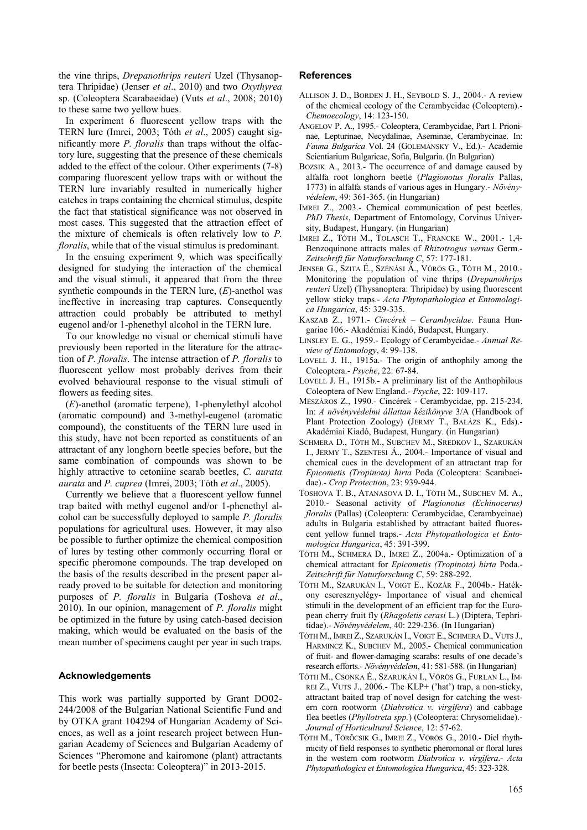the vine thrips, *Drepanothrips reuteri* Uzel (Thysanoptera Thripidae) (Jenser *et al*., 2010) and two *Oxythyrea* sp. (Coleoptera Scarabaeidae) (Vuts *et al*., 2008; 2010) to these same two yellow hues.

In experiment 6 fluorescent yellow traps with the TERN lure (Imrei, 2003; Tóth *et al*., 2005) caught significantly more *P. floralis* than traps without the olfactory lure, suggesting that the presence of these chemicals added to the effect of the colour. Other experiments (7-8) comparing fluorescent yellow traps with or without the TERN lure invariably resulted in numerically higher catches in traps containing the chemical stimulus, despite the fact that statistical significance was not observed in most cases. This suggested that the attraction effect of the mixture of chemicals is often relatively low to *P. floralis*, while that of the visual stimulus is predominant.

In the ensuing experiment 9, which was specifically designed for studying the interaction of the chemical and the visual stimuli, it appeared that from the three synthetic compounds in the TERN lure, (*E*)-anethol was ineffective in increasing trap captures. Consequently attraction could probably be attributed to methyl eugenol and/or 1-phenethyl alcohol in the TERN lure.

To our knowledge no visual or chemical stimuli have previously been reported in the literature for the attraction of *P. floralis*. The intense attraction of *P. floralis* to fluorescent yellow most probably derives from their evolved behavioural response to the visual stimuli of flowers as feeding sites.

(*E*)-anethol (aromatic terpene), 1-phenylethyl alcohol (aromatic compound) and 3-methyl-eugenol (aromatic compound), the constituents of the TERN lure used in this study, have not been reported as constituents of an attractant of any longhorn beetle species before, but the same combination of compounds was shown to be highly attractive to cetoniine scarab beetles, *C. aurata aurata* and *P. cuprea* (Imrei, 2003; Tóth *et al*., 2005).

Currently we believe that a fluorescent yellow funnel trap baited with methyl eugenol and/or 1-phenethyl alcohol can be successfully deployed to sample *P. floralis* populations for agricultural uses. However, it may also be possible to further optimize the chemical composition of lures by testing other commonly occurring floral or specific pheromone compounds. The trap developed on the basis of the results described in the present paper already proved to be suitable for detection and monitoring purposes of *P. floralis* in Bulgaria (Toshova *et al*., 2010). In our opinion, management of *P. floralis* might be optimized in the future by using catch-based decision making, which would be evaluated on the basis of the mean number of specimens caught per year in such traps.

## **Acknowledgements**

This work was partially supported by Grant DO02- 244/2008 of the Bulgarian National Scientific Fund and by OTKA grant 104294 of Hungarian Academy of Sciences, as well as a joint research project between Hungarian Academy of Sciences and Bulgarian Academy of Sciences "Pheromone and kairomone (plant) attractants for beetle pests (Insecta: Coleoptera)" in 2013-2015.

#### **References**

- ALLISON J. D., BORDEN J. H., SEYBOLD S. J., 2004.- A review of the chemical ecology of the Cerambycidae (Coleoptera).- *Chemoecology*, 14: 123-150.
- ANGELOV P. A., 1995.- Coleoptera, Cerambycidae, Part I. Prioninae, Lepturinae, Necydalinae, Aseminae, Cerambycinae. In: *Fauna Bulgarica* Vol. 24 (GOLEMANSKY V., Ed.).- Academie Scientiarium Bulgaricae, Sofia, Bulgaria. (In Bulgarian)
- BOZSIK A., 2013.- The occurrence of and damage caused by alfalfa root longhorn beetle (*Plagionotus floralis* Pallas, 1773) in alfalfa stands of various ages in Hungary.- *Növényvédelem*, 49: 361-365. (in Hungarian)
- IMREI Z., 2003.- Chemical communication of pest beetles. *PhD Thesis*, Department of Entomology, Corvinus University, Budapest, Hungary. (in Hungarian)
- IMREI Z., TÓTH M., TOLASCH T., FRANCKE W., 2001.- 1,4- Benzoquinone attracts males of *Rhizotrogus vernus* Germ.- *Zeitschrift für Naturforschung C*, 57: 177-181.
- JENSER G., SZITA É., SZÉNÁSI Á., VÖRÖS G., TÓTH M., 2010.- Monitoring the population of vine thrips (*Drepanothrips reuteri* Uzel) (Thysanoptera: Thripidae) by using fluorescent yellow sticky traps.- *Acta Phytopathologica et Entomologica Hungarica*, 45: 329-335.
- KASZAB Z., 1971.- *Cincérek – Cerambycidae*. Fauna Hungariae 106.- Akadémiai Kiadó, Budapest, Hungary.
- LINSLEY E. G., 1959.- Ecology of Cerambycidae.- *Annual Review of Entomology*, 4: 99-138.
- LOVELL J. H., 1915a.- The origin of anthophily among the Coleoptera.- *Psyche*, 22: 67-84.
- LOVELL J. H., 1915b.- A preliminary list of the Anthophilous Coleoptera of New England.- *Psyche*, 22: 109-117.
- MÉSZÁROS Z., 1990.- Cincérek Cerambycidae, pp. 215-234. In: *A növényvédelmi állattan kézikönyve* 3/A (Handbook of Plant Protection Zoology) (JERMY T., BALÁZS K., Eds).- Akadémiai Kiadó, Budapest, Hungary. (in Hungarian)
- SCHMERA D., TÓTH M., SUBCHEV M., SREDKOV I., SZARUKÁN I., JERMY T., SZENTESI Á., 2004.- Importance of visual and chemical cues in the development of an attractant trap for *Epicometis (Tropinota) hirta* Poda (Coleoptera: Scarabaeidae).- *Crop Protection*, 23: 939-944.
- TOSHOVA T. B., ATANASOVA D. I., TÓTH M., SUBCHEV M. A., 2010.- Seasonal activity of *Plagionotus (Echinocerus) floralis* (Pallas) (Coleoptera: Cerambycidae, Cerambycinae) adults in Bulgaria established by attractant baited fluorescent yellow funnel traps.- *Acta Phytopathologica et Entomologica Hungarica*, 45: 391-399.
- TÓTH M., SCHMERA D., IMREI Z., 2004a.- Optimization of a chemical attractant for *Epicometis (Tropinota) hirta* Poda.- *Zeitschrift für Naturforschung C*, 59: 288-292.
- TÓTH M., SZARUKÁN I., VOIGT E., KOZÁR F., 2004b.- Hatékony cseresznyelégy- Importance of visual and chemical stimuli in the development of an efficient trap for the European cherry fruit fly (*Rhagoletis cerasi* L.) (Diptera, Tephritidae).- *Növényvédelem*, 40: 229-236. (In Hungarian)
- TÓTH M., IMREI Z., SZARUKÁN I., VOIGT E., SCHMERA D., VUTS J., HARMINCZ K., SUBCHEV M., 2005.- Chemical communication of fruit- and flower-damaging scarabs: results of one decade's research efforts.- *Növényvédelem*, 41: 581-588. (in Hungarian)
- TÓTH M., CSONKA É., SZARUKÁN I., VÖRÖS G., FURLAN L., IM-REI Z., VUTS J., 2006.- The KLP+ ('hat') trap, a non-sticky, attractant baited trap of novel design for catching the western corn rootworm (*Diabrotica v. virgifera*) and cabbage flea beetles (*Phyllotreta spp.*) (Coleoptera: Chrysomelidae).- *Journal of Horticultural Science*, 12: 57-62.
- TÓTH M., TÖRŐCSIK G., IMREI Z., VÖRÖS G., 2010.- Diel rhythmicity of field responses to synthetic pheromonal or floral lures in the western corn rootworm *Diabrotica v. virgifera*.- *Acta Phytopathologica et Entomologica Hungarica*, 45: 323-328.